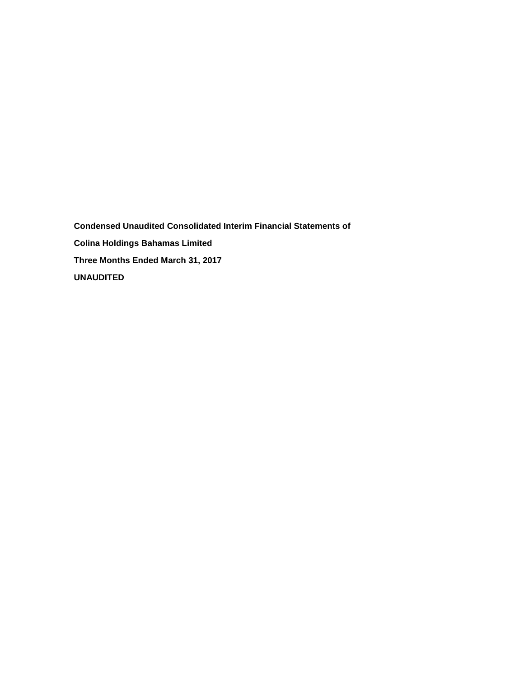**Condensed Unaudited Consolidated Interim Financial Statements of Colina Holdings Bahamas Limited Three Months Ended March 31, 2017 UNAUDITED**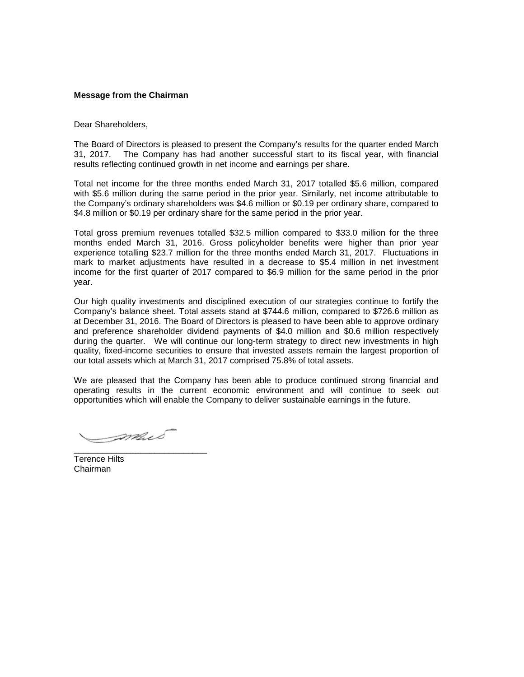## **Message from the Chairman**

Dear Shareholders,

The Board of Directors is pleased to present the Company's results for the quarter ended March 31, 2017. The Company has had another successful start to its fiscal year, with financial results reflecting continued growth in net income and earnings per share.

Total net income for the three months ended March 31, 2017 totalled \$5.6 million, compared with \$5.6 million during the same period in the prior year. Similarly, net income attributable to the Company's ordinary shareholders was \$4.6 million or \$0.19 per ordinary share, compared to \$4.8 million or \$0.19 per ordinary share for the same period in the prior year.

Total gross premium revenues totalled \$32.5 million compared to \$33.0 million for the three months ended March 31, 2016. Gross policyholder benefits were higher than prior year experience totalling \$23.7 million for the three months ended March 31, 2017. Fluctuations in mark to market adjustments have resulted in a decrease to \$5.4 million in net investment income for the first quarter of 2017 compared to \$6.9 million for the same period in the prior year.

Our high quality investments and disciplined execution of our strategies continue to fortify the Company's balance sheet. Total assets stand at \$744.6 million, compared to \$726.6 million as at December 31, 2016. The Board of Directors is pleased to have been able to approve ordinary and preference shareholder dividend payments of \$4.0 million and \$0.6 million respectively during the quarter. We will continue our long-term strategy to direct new investments in high quality, fixed-income securities to ensure that invested assets remain the largest proportion of our total assets which at March 31, 2017 comprised 75.8% of total assets.

We are pleased that the Company has been able to produce continued strong financial and operating results in the current economic environment and will continue to seek out opportunities which will enable the Company to deliver sustainable earnings in the future.

*mus* 

\_\_\_\_\_\_\_\_\_\_\_\_\_\_\_\_\_\_\_\_\_\_\_\_\_\_\_\_

Terence Hilts Chairman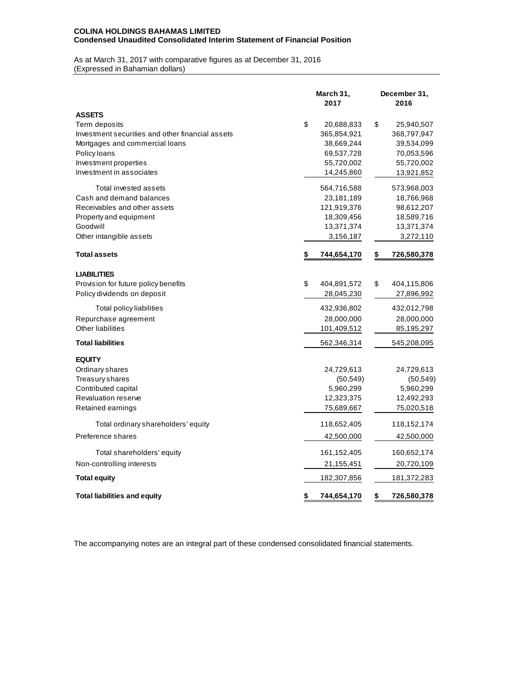## **COLINA HOLDINGS BAHAMAS LIMITED Condensed Unaudited Consolidated Interim Statement of Financial Position**

## As at March 31, 2017 with comparative figures as at December 31, 2016 (Expressed in Bahamian dollars)

|                                                  | March 31,<br>2017 |               | December 31,<br>2016 |             |  |  |
|--------------------------------------------------|-------------------|---------------|----------------------|-------------|--|--|
| <b>ASSETS</b>                                    |                   |               |                      |             |  |  |
| Term deposits                                    | \$                | 20,688,833    | \$                   | 25,940,507  |  |  |
| Investment securities and other financial assets |                   | 365,854,921   |                      | 368,797,947 |  |  |
| Mortgages and commercial loans                   |                   | 38,669,244    |                      | 39,534,099  |  |  |
| Policy loans                                     |                   | 69,537,728    |                      | 70,053,596  |  |  |
| Investment properties                            |                   | 55,720,002    |                      | 55,720,002  |  |  |
| Investment in associates                         |                   | 14,245,860    |                      | 13,921,852  |  |  |
| Total invested assets                            |                   | 564,716,588   |                      | 573,968,003 |  |  |
| Cash and demand balances                         |                   | 23,181,189    |                      | 18,766,968  |  |  |
| Receivables and other assets                     |                   | 121,919,376   |                      | 98,612,207  |  |  |
| Property and equipment                           |                   | 18,309,456    |                      | 18,589,716  |  |  |
| Goodwill                                         |                   | 13,371,374    |                      | 13,371,374  |  |  |
| Other intangible assets                          |                   | 3,156,187     |                      | 3,272,110   |  |  |
| <b>Total assets</b>                              | \$                | 744,654,170   | \$                   | 726,580,378 |  |  |
| <b>LIABILITIES</b>                               |                   |               |                      |             |  |  |
| Provision for future policy benefits             | \$                | 404,891,572   | \$                   | 404,115,806 |  |  |
| Policy dividends on deposit                      |                   | 28,045,230    |                      | 27,896,992  |  |  |
| Total policy liabilities                         |                   | 432,936,802   |                      | 432,012,798 |  |  |
| Repurchase agreement                             |                   | 28,000,000    |                      | 28,000,000  |  |  |
| Other liabilities                                |                   | 101,409,512   |                      | 85,195,297  |  |  |
| <b>Total liabilities</b>                         |                   | 562,346,314   |                      | 545,208,095 |  |  |
| <b>EQUITY</b>                                    |                   |               |                      |             |  |  |
| Ordinary shares                                  |                   | 24,729,613    |                      | 24,729,613  |  |  |
| Treasury shares                                  |                   | (50, 549)     |                      | (50, 549)   |  |  |
| Contributed capital                              |                   | 5,960,299     |                      | 5,960,299   |  |  |
| <b>Revaluation reserve</b>                       |                   | 12,323,375    |                      | 12,492,293  |  |  |
| Retained earnings                                |                   | 75,689,667    |                      | 75,020,518  |  |  |
| Total ordinary shareholders' equity              |                   | 118,652,405   |                      | 118,152,174 |  |  |
| Preference shares                                |                   | 42,500,000    |                      | 42,500,000  |  |  |
| Total shareholders' equity                       |                   | 161, 152, 405 |                      | 160,652,174 |  |  |
| Non-controlling interests                        |                   | 21, 155, 451  |                      | 20,720,109  |  |  |
| <b>Total equity</b>                              |                   | 182,307,856   |                      | 181,372,283 |  |  |
| <b>Total liabilities and equity</b>              | \$                | 744,654,170   | \$                   | 726,580,378 |  |  |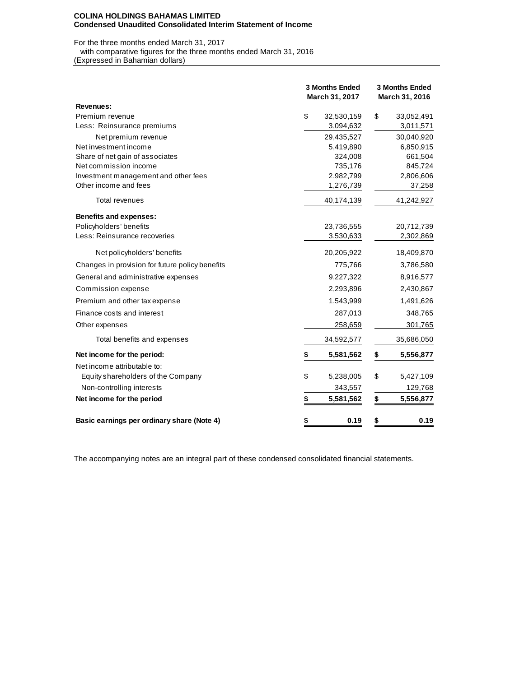#### **COLINA HOLDINGS BAHAMAS LIMITED Condensed Unaudited Consolidated Interim Statement of Income**

For the three months ended March 31, 2017

with comparative figures for the three months ended March 31, 2016

(Expressed in Bahamian dollars)

|                                                 | <b>3 Months Ended</b><br>March 31, 2017 |            | <b>3 Months Ended</b><br>March 31, 2016 |            |  |  |  |
|-------------------------------------------------|-----------------------------------------|------------|-----------------------------------------|------------|--|--|--|
| <b>Revenues:</b>                                |                                         |            |                                         |            |  |  |  |
| Premium revenue                                 | \$                                      | 32,530,159 | \$                                      | 33,052,491 |  |  |  |
| Less: Reinsurance premiums                      |                                         | 3,094,632  |                                         | 3,011,571  |  |  |  |
| Net premium revenue                             |                                         | 29,435,527 |                                         | 30,040,920 |  |  |  |
| Net investment income                           |                                         | 5,419,890  |                                         | 6,850,915  |  |  |  |
| Share of net gain of associates                 |                                         | 324,008    |                                         | 661,504    |  |  |  |
| Net commission income                           |                                         | 735,176    |                                         | 845,724    |  |  |  |
| Investment management and other fees            |                                         | 2,982,799  |                                         | 2,806,606  |  |  |  |
| Other income and fees                           |                                         | 1,276,739  |                                         | 37,258     |  |  |  |
| <b>Total revenues</b>                           |                                         | 40,174,139 |                                         | 41,242,927 |  |  |  |
| <b>Benefits and expenses:</b>                   |                                         |            |                                         |            |  |  |  |
| Policyholders' benefits                         |                                         | 23,736,555 |                                         | 20,712,739 |  |  |  |
| Less: Reinsurance recoveries                    |                                         | 3,530,633  |                                         | 2,302,869  |  |  |  |
| Net policyholders' benefits                     |                                         | 20,205,922 |                                         | 18,409,870 |  |  |  |
| Changes in provision for future policy benefits |                                         | 775,766    |                                         | 3,786,580  |  |  |  |
| General and administrative expenses             |                                         | 9,227,322  |                                         | 8,916,577  |  |  |  |
| Commission expense                              |                                         | 2,293,896  |                                         | 2,430,867  |  |  |  |
| Premium and other tax expense                   |                                         | 1,543,999  |                                         | 1,491,626  |  |  |  |
| Finance costs and interest                      |                                         | 287,013    |                                         | 348,765    |  |  |  |
| Other expenses                                  |                                         | 258,659    |                                         | 301,765    |  |  |  |
| Total benefits and expenses                     |                                         | 34,592,577 |                                         | 35,686,050 |  |  |  |
| Net income for the period:                      | \$                                      | 5,581,562  | \$                                      | 5,556,877  |  |  |  |
| Net income attributable to:                     |                                         |            |                                         |            |  |  |  |
| Equity shareholders of the Company              | \$                                      | 5,238,005  | \$                                      | 5,427,109  |  |  |  |
| Non-controlling interests                       |                                         | 343,557    |                                         | 129,768    |  |  |  |
| Net income for the period                       | \$                                      | 5,581,562  | \$                                      | 5,556,877  |  |  |  |
| Basic earnings per ordinary share (Note 4)      | \$                                      | 0.19       | \$                                      | 0.19       |  |  |  |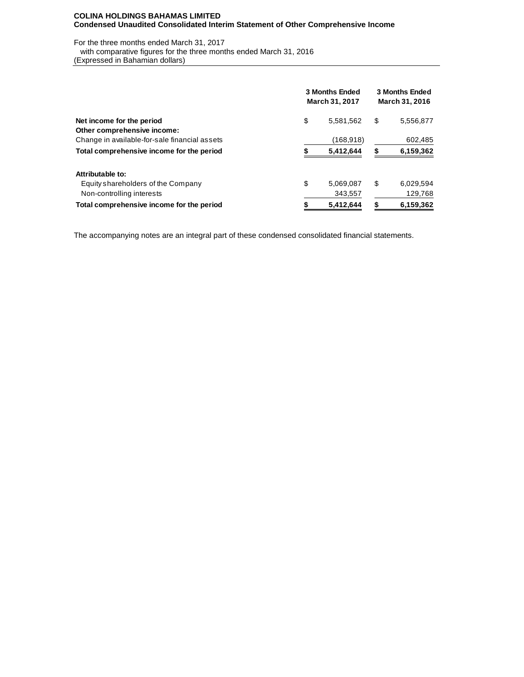## **COLINA HOLDINGS BAHAMAS LIMITED Condensed Unaudited Consolidated Interim Statement of Other Comprehensive Income**

For the three months ended March 31, 2017

with comparative figures for the three months ended March 31, 2016

(Expressed in Bahamian dollars)

|                                               | <b>3 Months Ended</b><br>March 31, 2017 | <b>3 Months Ended</b><br><b>March 31, 2016</b> |    |           |  |
|-----------------------------------------------|-----------------------------------------|------------------------------------------------|----|-----------|--|
| Net income for the period                     | \$                                      | 5,581,562                                      | \$ | 5,556,877 |  |
| Other comprehensive income:                   |                                         |                                                |    |           |  |
| Change in available-for-sale financial assets |                                         | (168,918)                                      |    | 602,485   |  |
| Total comprehensive income for the period     |                                         | 5,412,644                                      | S  | 6,159,362 |  |
| Attributable to:                              |                                         |                                                |    |           |  |
| Equity shareholders of the Company            | \$                                      | 5,069,087                                      | S  | 6,029,594 |  |
| Non-controlling interests                     |                                         | 343,557                                        |    | 129,768   |  |
| Total comprehensive income for the period     |                                         | 5,412,644                                      |    | 6,159,362 |  |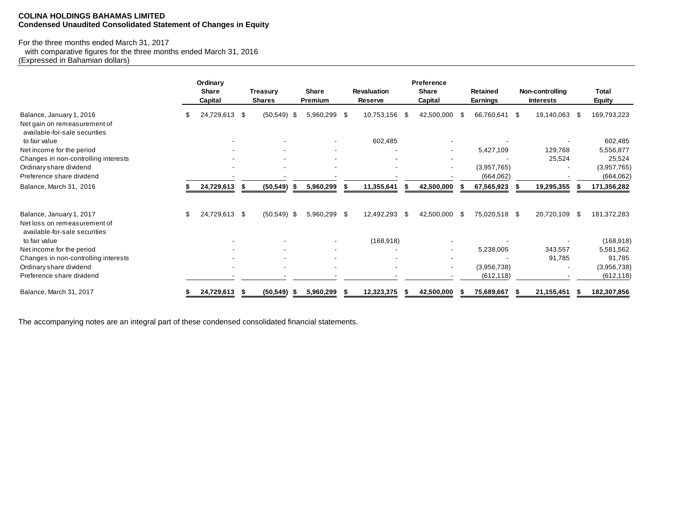## **COLINA HOLDINGS BAHAMAS LIMITED Condensed Unaudited Consolidated Statement of Changes in Equity**

# For the three months ended March 31, 2017

 with comparative figures for the three months ended March 31, 2016 (Expressed in Bahamian dollars)

|                                                                                           |     | Ordinary<br><b>Share</b><br>Capital |      | <b>Treasury</b><br><b>Shares</b> |   | Share<br>Premium         | <b>Revaluation</b><br><b>Reserve</b> |      | Preference<br><b>Share</b><br>Capital |     | <b>Retained</b><br>Earnings | Non-controlling<br><b>Interests</b> |     | <b>Total</b><br>Equity |
|-------------------------------------------------------------------------------------------|-----|-------------------------------------|------|----------------------------------|---|--------------------------|--------------------------------------|------|---------------------------------------|-----|-----------------------------|-------------------------------------|-----|------------------------|
| Balance, January 1, 2016<br>Net gain on remeasurement of<br>available-for-sale securities |     | 24,729,613 \$                       |      | $(50, 549)$ \$                   |   | 5,960,299 \$             | 10,753,156                           | - \$ | 42,500,000                            | \$. | 66,760,641 \$               | 19,140,063                          | -96 | 169,793,223            |
| to fair value                                                                             |     |                                     |      |                                  |   | $\overline{\phantom{a}}$ | 602,485                              |      |                                       |     |                             |                                     |     | 602,485                |
| Net income for the period                                                                 |     |                                     |      |                                  |   |                          |                                      |      |                                       |     | 5,427,109                   | 129,768                             |     | 5,556,877              |
| Changes in non-controlling interests                                                      |     |                                     |      |                                  |   |                          |                                      |      |                                       |     |                             | 25,524                              |     | 25,524                 |
| Ordinary share dividend                                                                   |     |                                     |      |                                  |   |                          |                                      |      |                                       |     | (3,957,765)                 |                                     |     | (3,957,765)            |
| Preference share dividend                                                                 |     |                                     |      |                                  |   |                          |                                      |      |                                       |     | (664, 062)                  |                                     |     | (664, 062)             |
| Balance, March 31, 2016                                                                   |     | 24,729,613                          |      | (50, 549)                        | Ъ | 5,960,299                | 11,355,641                           |      | 42,500,000                            |     | 67,565,923                  | 19,295,355                          |     | 171,356,282            |
| Balance, January 1, 2017<br>Net loss on remeasurement of<br>available-for-sale securities | \$. | 24,729,613 \$                       |      | $(50, 549)$ \$                   |   | 5,960,299 \$             | 12,492,293                           | -\$  | 42,500,000                            | -\$ | 75,020,518 \$               | 20,720,109                          | -S  | 181,372,283            |
| to fair value                                                                             |     |                                     |      |                                  |   |                          | (168, 918)                           |      |                                       |     |                             |                                     |     | (168, 918)             |
| Net income for the period                                                                 |     |                                     |      |                                  |   | $\blacksquare$           |                                      |      |                                       |     | 5,238,005                   | 343,557                             |     | 5,581,562              |
| Changes in non-controlling interests                                                      |     |                                     |      |                                  |   | $\blacksquare$           |                                      |      |                                       |     |                             | 91,785                              |     | 91,785                 |
| Ordinary share dividend                                                                   |     | ٠                                   |      | $\blacksquare$                   |   | $\overline{\phantom{a}}$ |                                      |      |                                       |     | (3,956,738)                 |                                     |     | (3,956,738)            |
| Preference share dividend                                                                 |     |                                     |      |                                  |   |                          |                                      |      |                                       |     | (612, 118)                  |                                     |     | (612, 118)             |
| Balance, March 31, 2017                                                                   |     | 24,729,613                          | - 56 | (50, 549)                        |   | 5,960,299                | 12,323,375                           |      | 42,500,000                            |     | 75,689,667                  | 21, 155, 451                        |     | 182,307,856            |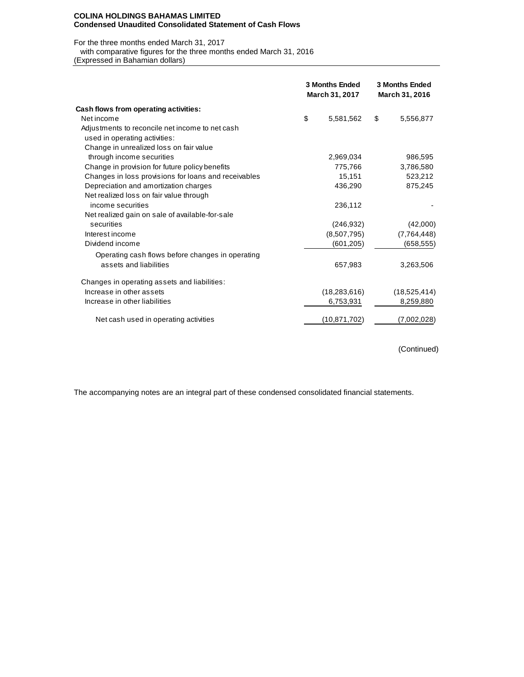#### **COLINA HOLDINGS BAHAMAS LIMITED Condensed Unaudited Consolidated Statement of Cash Flows**

For the three months ended March 31, 2017

with comparative figures for the three months ended March 31, 2016

(Expressed in Bahamian dollars)

|                                                      | <b>3 Months Ended</b><br>March 31, 2017 | <b>3 Months Ended</b><br>March 31, 2016 |
|------------------------------------------------------|-----------------------------------------|-----------------------------------------|
| Cash flows from operating activities:                |                                         |                                         |
| Net income                                           | \$<br>5.581.562                         | \$<br>5,556,877                         |
| Adjustments to reconcile net income to net cash      |                                         |                                         |
| used in operating activities:                        |                                         |                                         |
| Change in unrealized loss on fair value              |                                         |                                         |
| through income securities                            | 2,969,034                               | 986,595                                 |
| Change in provision for future policy benefits       | 775,766                                 | 3,786,580                               |
| Changes in loss provisions for loans and receivables | 15,151                                  | 523,212                                 |
| Depreciation and amortization charges                | 436,290                                 | 875,245                                 |
| Net realized loss on fair value through              |                                         |                                         |
| income securities                                    | 236,112                                 |                                         |
| Net realized gain on sale of available-for-sale      |                                         |                                         |
| securities                                           | (246, 932)                              | (42,000)                                |
| Interest income                                      | (8,507,795)                             | (7,764,448)                             |
| Dividend income                                      | (601, 205)                              | (658, 555)                              |
| Operating cash flows before changes in operating     |                                         |                                         |
| assets and liabilities                               | 657,983                                 | 3,263,506                               |
| Changes in operating assets and liabilities:         |                                         |                                         |
| Increase in other assets                             | (18, 283, 616)                          | (18,525,414)                            |
| Increase in other liabilities                        | 6,753,931                               | 8,259,880                               |
| Net cash used in operating activities                | (10,871,702)                            | (7,002,028)                             |

(Continued)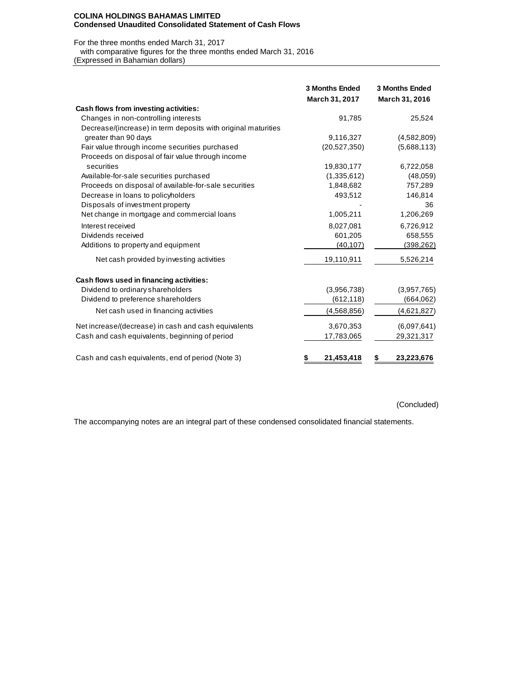#### **COLINA HOLDINGS BAHAMAS LIMITED Condensed Unaudited Consolidated Statement of Cash Flows**

For the three months ended March 31, 2017

with comparative figures for the three months ended March 31, 2016

(Expressed in Bahamian dollars)

|                                                               | <b>3 Months Ended</b><br>March 31, 2017 | <b>3 Months Ended</b><br>March 31, 2016 |
|---------------------------------------------------------------|-----------------------------------------|-----------------------------------------|
| Cash flows from investing activities:                         |                                         |                                         |
| Changes in non-controlling interests                          | 91,785                                  | 25,524                                  |
| Decrease/(increase) in term deposits with original maturities |                                         |                                         |
| greater than 90 days                                          | 9,116,327                               | (4,582,809)                             |
| Fair value through income securities purchased                | (20,527,350)                            | (5,688,113)                             |
| Proceeds on disposal of fair value through income             |                                         |                                         |
| securities                                                    | 19,830,177                              | 6,722,058                               |
| Available-for-sale securities purchased                       | (1,335,612)                             | (48,059)                                |
| Proceeds on disposal of available-for-sale securities         | 1,848,682                               | 757,289                                 |
| Decrease in loans to policyholders                            | 493,512                                 | 146,814                                 |
| Disposals of investment property                              |                                         | 36                                      |
| Net change in mortgage and commercial loans                   | 1,005,211                               | 1,206,269                               |
| Interest received                                             | 8,027,081                               | 6,726,912                               |
| Dividends received                                            | 601,205                                 | 658,555                                 |
| Additions to property and equipment                           | (40, 107)                               | (398, 262)                              |
| Net cash provided by investing activities                     | 19,110,911                              | 5,526,214                               |
| Cash flows used in financing activities:                      |                                         |                                         |
| Dividend to ordinary shareholders                             | (3,956,738)                             | (3,957,765)                             |
| Dividend to preference shareholders                           | (612, 118)                              | (664, 062)                              |
| Net cash used in financing activities                         | (4,568,856)                             | (4,621,827)                             |
| Net increase/(decrease) in cash and cash equivalents          | 3,670,353                               | (6,097,641)                             |
| Cash and cash equivalents, beginning of period                | 17,783,065                              | 29,321,317                              |
| Cash and cash equivalents, end of period (Note 3)             | 21,453,418<br>\$                        | \$<br>23,223,676                        |

(Concluded)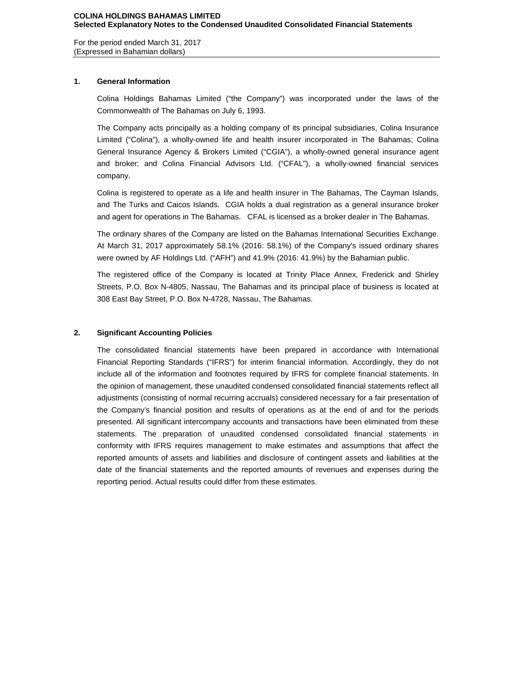For the period ended March 31, 2017 (Expressed in Bahamian dollars)

## **1. General Information**

Colina Holdings Bahamas Limited ("the Company") was incorporated under the laws of the Commonwealth of The Bahamas on July 6, 1993.

The Company acts principally as a holding company of its principal subsidiaries, Colina Insurance Limited ("Colina"), a wholly-owned life and health insurer incorporated in The Bahamas; Colina General Insurance Agency & Brokers Limited ("CGIA"), a wholly-owned general insurance agent and broker; and Colina Financial Advisors Ltd. ("CFAL"), a wholly-owned financial services company.

Colina is registered to operate as a life and health insurer in The Bahamas, The Cayman Islands, and The Turks and Caicos Islands. CGIA holds a dual registration as a general insurance broker and agent for operations in The Bahamas. CFAL is licensed as a broker dealer in The Bahamas.

The ordinary shares of the Company are listed on the Bahamas International Securities Exchange. At March 31, 2017 approximately 58.1% (2016: 58.1%) of the Company's issued ordinary shares were owned by AF Holdings Ltd. ("AFH") and 41.9% (2016: 41.9%) by the Bahamian public.

The registered office of the Company is located at Trinity Place Annex, Frederick and Shirley Streets, P.O. Box N-4805, Nassau, The Bahamas and its principal place of business is located at 308 East Bay Street, P.O. Box N-4728, Nassau, The Bahamas.

#### **2. Significant Accounting Policies**

The consolidated financial statements have been prepared in accordance with International Financial Reporting Standards ("IFRS") for interim financial information. Accordingly, they do not include all of the information and footnotes required by IFRS for complete financial statements. In the opinion of management, these unaudited condensed consolidated financial statements reflect all adjustments (consisting of normal recurring accruals) considered necessary for a fair presentation of the Company's financial position and results of operations as at the end of and for the periods presented. All significant intercompany accounts and transactions have been eliminated from these statements. The preparation of unaudited condensed consolidated financial statements in conformity with IFRS requires management to make estimates and assumptions that affect the reported amounts of assets and liabilities and disclosure of contingent assets and liabilities at the date of the financial statements and the reported amounts of revenues and expenses during the reporting period. Actual results could differ from these estimates.